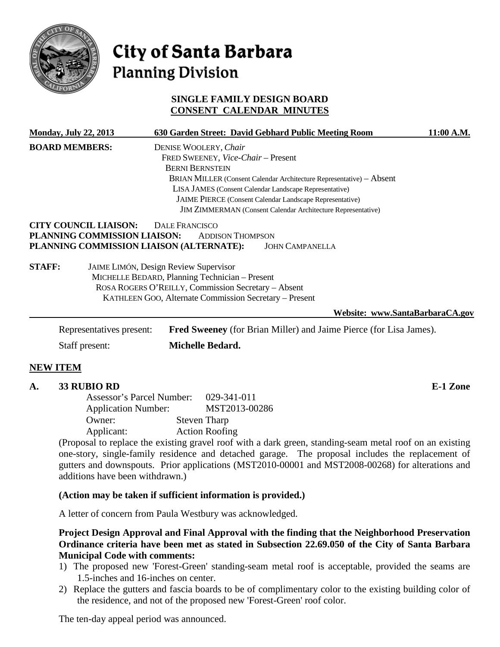

# City of Santa Barbara **Planning Division**

# **SINGLE FAMILY DESIGN BOARD CONSENT CALENDAR MINUTES**

|                | <b>Monday, July 22, 2013</b>                                 | 630 Garden Street: David Gebhard Public Meeting Room                                                                                                                                                                                                                                                                                                | 11:00 A.M. |
|----------------|--------------------------------------------------------------|-----------------------------------------------------------------------------------------------------------------------------------------------------------------------------------------------------------------------------------------------------------------------------------------------------------------------------------------------------|------------|
|                | <b>BOARD MEMBERS:</b>                                        | DENISE WOOLERY, Chair<br>FRED SWEENEY, Vice-Chair - Present<br><b>BERNI BERNSTEIN</b><br>BRIAN MILLER (Consent Calendar Architecture Representative) - Absent<br>LISA JAMES (Consent Calendar Landscape Representative)<br>JAIME PIERCE (Consent Calendar Landscape Representative)<br>JIM ZIMMERMAN (Consent Calendar Architecture Representative) |            |
|                | <b>CITY COUNCIL LIAISON:</b><br>PLANNING COMMISSION LIAISON: | <b>DALE FRANCISCO</b><br><b>ADDISON THOMPSON</b><br>PLANNING COMMISSION LIAISON (ALTERNATE):<br><b>JOHN CAMPANELLA</b>                                                                                                                                                                                                                              |            |
| <b>STAFF:</b>  |                                                              | <b>JAIME LIMÓN, Design Review Supervisor</b><br>MICHELLE BEDARD, Planning Technician - Present<br>ROSA ROGERS O'REILLY, Commission Secretary - Absent<br>KATHLEEN GOO, Alternate Commission Secretary - Present                                                                                                                                     |            |
|                |                                                              | Website: www.SantaBarbaraCA.gov                                                                                                                                                                                                                                                                                                                     |            |
|                | Representatives present:                                     | <b>Fred Sweeney</b> (for Brian Miller) and Jaime Pierce (for Lisa James).                                                                                                                                                                                                                                                                           |            |
| Staff present: |                                                              | Michelle Bedard.                                                                                                                                                                                                                                                                                                                                    |            |

#### **NEW ITEM**

#### **A. 33 RUBIO RD E-1 Zone**

Assessor's Parcel Number: 029-341-011 Application Number: MST2013-00286 Owner: Steven Tharp Applicant: Action Roofing

(Proposal to replace the existing gravel roof with a dark green, standing-seam metal roof on an existing one-story, single-family residence and detached garage. The proposal includes the replacement of gutters and downspouts. Prior applications (MST2010-00001 and MST2008-00268) for alterations and additions have been withdrawn.)

#### **(Action may be taken if sufficient information is provided.)**

A letter of concern from Paula Westbury was acknowledged.

**Project Design Approval and Final Approval with the finding that the Neighborhood Preservation Ordinance criteria have been met as stated in Subsection 22.69.050 of the City of Santa Barbara Municipal Code with comments:**

- 1) The proposed new 'Forest-Green' standing-seam metal roof is acceptable, provided the seams are 1.5-inches and 16-inches on center.
- 2) Replace the gutters and fascia boards to be of complimentary color to the existing building color of the residence, and not of the proposed new 'Forest-Green' roof color.

The ten-day appeal period was announced.